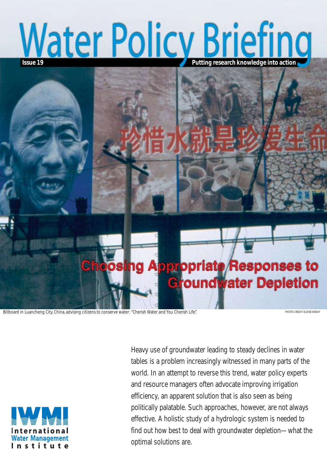# **Mater Policy Briefing**



Billboard in Luancheng City, China, advising citizens to conserve water: "Cherish Water and You Cherish Life". PHOTO CREDIT: ELOISE KENDY



Heavy use of groundwater leading to steady declines in water tables is a problem increasingly witnessed in many parts of the world. In an attempt to reverse this trend, water policy experts and resource managers often advocate improving irrigation efficiency, an apparent solution that is also seen as being politically palatable. Such approaches, however, are not always effective. A holistic study of a hydrologic system is needed to find out how best to deal with groundwater depletion—what the optimal solutions are.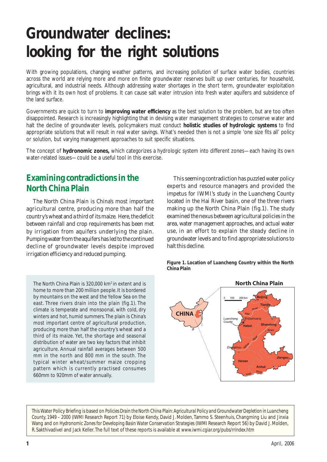# **Groundwater declines: looking for the right solutions**

With growing populations, changing weather patterns, and increasing pollution of surface water bodies, countries across the world are relying more and more on finite groundwater reserves built up over centuries, for household, agricultural, and industrial needs. Although addressing water shortages in the short term, groundwater exploitation brings with it its own host of problems. It can cause salt water intrusion into fresh water aquifers and subsidence of the land surface.

Governments are quick to turn to **improving water efficiency** as the best solution to the problem, but are too often disappointed. Research is increasingly highlighting that in devising water management strategies to conserve water and halt the decline of groundwater levels, policymakers must conduct **holistic studies of hydrologic systems** to find appropriate solutions that will result in real water savings. What's needed then is not a simple 'one size fits all' policy or solution, but varying management approaches to suit specific situations.

The concept of **hydronomic zones,** which categorizes a hydrologic system into different zones—each having its own water-related issues—could be a useful tool in this exercise.

# **Examining contradictions in the North China Plain**

The North China Plain is China's most important agricultural centre, producing more than half the country's wheat and a third of its maize. Here, the deficit between rainfall and crop requirements has been met by irrigation from aquifers underlying the plain. Pumping water from the aquifers has led to the continued decline of groundwater levels despite improved irrigation efficiency and reduced pumping.

The North China Plain is 320,000 km2 in extent and is home to more than 200 million people. It is bordered by mountains on the west and the Yellow Sea on the east. Three rivers drain into the plain (fig.1). The climate is temperate and monsoonal, with cold, dry winters and hot, humid summers. The plain is China's most important centre of agricultural production, producing more than half the country's wheat and a third of its maize. Yet, the shortage and seasonal distribution of water are two key factors that inhibit agriculture. Annual rainfall averages between 500 mm in the north and 800 mm in the south. The typical winter wheat/summer maize cropping pattern which is currently practised consumes 660mm to 920mm of water annually.

This seeming contradiction has puzzled water policy experts and resource managers and provided the impetus for IWMI's study in the Luancheng County located in the Hai River basin, one of the three rivers making up the North China Plain (fig.1). The study examined the nexus between agricultural policies in the area, water management approaches, and actual water use, in an effort to explain the steady decline in groundwater levels and to find appropriate solutions to halt this decline.

**Figure 1. Location of Luancheng Country within the North China Plain**



This Water Policy Briefing is based on *Policies Drain the North China Plain: Agricultural Policy and Groundwater Depletion in Luancheng County, 1949 – 2000* (IWMI Research Report 71) by Eloise Kendy, David J. Molden, Tammo S. Steenhuis, Changming Liu and Jinxia Wang and on *Hydronomic Zones for Developing Basin Water Conservation Strategies* (IWMI Research Report 56) by David J. Molden, R. Sakthivadivel and Jack Keller. The full text of these reports is available at *www.iwmi.cgiar.org/pubs/rrindex.htm*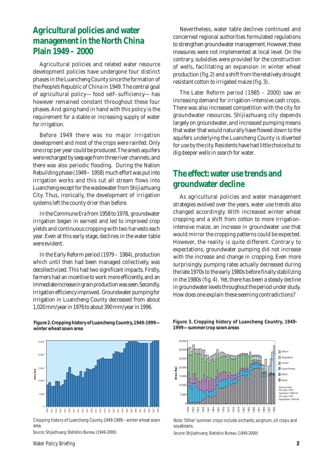# **Agricultural policies and water management in the North China Plain 1949 – 2000**

Agricultural policies and related water resource development policies have undergone four distinct phases in the Luancheng County since the formation of the People's Republic of China in 1949. The central goal of agricultural policy—food self–sufficiency—has however remained constant throughout these four phases. And going hand in hand with this policy is the requirement for a stable or increasing supply of water for irrigation.

Before 1949 there was no major irrigation development and most of the crops were rainfed. Only one crop per year could be produced. The area's aquifers were recharged by seepage from three river channels, and there was also periodic flooding. During the Nation Rebuilding phase (1949 – 1958) much effort was put into irrigation works and this cut all stream flows into Luancheng except for the wastewater from Shijiazhuang City. Thus, ironically, the development of irrigation systems left the county drier than before.

In the Commune Era from 1958 to 1978, groundwater irrigation began in earnest and led to improved crop yields and continuous cropping with two harvests each year. Even at this early stage, declines in the water table were evident.

In the Early Reform period (1979 – 1984), production which until then had been managed collectively, was decollectivized. This had two significant impacts. Firstly, farmers had an incentive to work more efficiently, and an immediate increase in grain production was seen. Secondly, irrigation efficiency improved. Groundwater pumping for irrigation in Luancheng County decreased from about 1,020 mm/year in 1976 to about 390 mm/year in 1996.

Nevertheless, water table declines continued and concerned regional authorities formulated regulations to strengthen groundwater management. However, these measures were not implemented at local level. On the contrary, subsidies were provided for the construction of wells, facilitating an expansion in winter wheat production (fig. 2) and a shift from the relatively drought resistant cotton to irrigated maize (fig. 3).

The Later Reform period (1985 – 2000) saw an increasing demand for irrigation-intensive cash crops. There was also increased competition with the city for groundwater resources. Shijiazhuang city depends largely on groundwater, and increased pumping means that water that would naturally have flowed down to the aquifers underlying the Luancheng County is diverted for use by the city. Residents have had little choice but to dig deeper wells in search for water.

# **The effect: water use trends and groundwater decline**

As agricultural policies and water management strategies evolved over the years, water use trends also changed accordingly. With increased winter wheat cropping and a shift from cotton to more irrigationintensive maize, an increase in groundwater use that would mirror the cropping patterns could be expected. However, the reality is quite different. Contrary to expectations, groundwater pumping did not increase with the increase and change in cropping. Even more surprisingly, pumping rates actually decreased during the late 1970s to the early 1980s before finally stabilizing in the 1980s (fig. 4). Yet, there has been a steady decline in groundwater levels throughout the period under study. How does one explain these seeming contradictions?



**Figure 2. Cropping history of Luancheng Country, 1949-1999 winter wheat sown area**

Cropping history of Luancheng County, 1949-1999 – winter wheat sown area.

*Source:* Shijazhuang Statistics Bureau (1949-2000)

**Figure 3. Cropping history of Luancheng Country, 1949- 1999—summer crop sown areas**



*Note:* 'Other' summer crops include orchards, sorghum, oil crops and soyabeans. **Source: 'Shijiazhuang Statistics Bureau (1949-2000)**<br> **Sovabeans.**<br> **Source: Shijiazhuang Statistics Bureau (1949-2000)**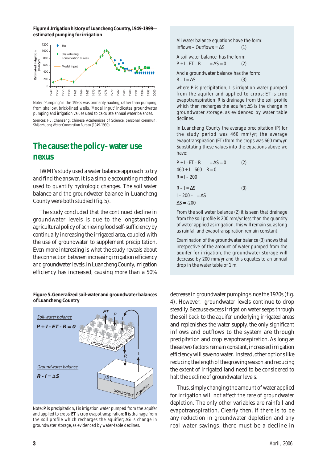**Figure 4. Irrigation history of Luancheng Country, 1949-1999 estimated pumping for irrigation**



*Note:* 'Pumping' in the 1950s was primarily hauling, rather than pumping, from shallow, brick-lined wells. 'Model Input' indicates groundwater pumping and irrigation values used to calculate annual water balances.

# **The cause: the policy–water use nexus**

IWMI's study used a water balance approach to try and find the answer. It is a simple accounting method used to quantify hydrologic changes. The soil water balance and the groundwater balance in Luancheng County were both studied (fig. 5).

The study concluded that the continued decline in groundwater levels is due to the longstanding agricultural policy of achieving food self-sufficiency by continually increasing the irrigated area, coupled with the use of groundwater to supplement precipitation. Even more interesting is what the study reveals about the connection between increasing irrigation efficiency and groundwater levels. In Luancheng County, irrigation efficiency has increased, causing more than a 50%

**Figure 5. Generalized soil-water and groundwater balances of Luancheng Country**



Note: *P* is precipitation, *I* is irrigation water pumped from the aquifer and applied to crops; *ET* is crop evapotranspiration; *R* is drainage from the soil profile which recharges the aquifier; ∆*S* is change in groundwater storage, as evidenced by water-table declines.

All water balance equations have the form:  $Inflows - Outflows = AS$  (1)

A soil water balance has the form:  $P + I - ET - R = \Delta S = 0$  (2)

And a groundwater balance has the form:  $R - I = \Delta S$  (3)

where P is precipitation; I is irrigation water pumped from the aquifer and applied to crops; ET is crop evapotranspiration; R is drainage from the soil profile which then recharges the aquifer; ∆S is the change in groundwater storage, as evidenced by water table declines.

In Luancheng County the average precipitation (P) for the study period was 460 mm/yr; the average evapotranspiration (ET) from the crops was 660 mm/yr. Substituting these values into the equations above we have:

$$
P + I - ET - R = \Delta S = 0
$$
 (2)  
460 + I - 660 - R = 0  
R = I - 200  
R - I = \Delta S  
I - 200 - I = \Delta S  
 $\Delta S$  = -200

From the soil water balance (2) it is seen that drainage from the soil profile is 200 mm/yr less than the quantity of water applied as irrigation. This will remain so, as long as rainfall and evapotranspiration remain constant.

Examination of the groundwater balance (3) shows that irrespective of the amount of water pumped from the aquifer for irrigation, the groundwater storage will decrease by 200 mm/yr and this equates to an annual drop in the water table of 1 m.

decrease in groundwater pumping since the 1970s (fig. 4). However, groundwater levels continue to drop steadily. Because excess irrigation water seeps through the soil back to the aquifer underlying irrigated areas and replenishes the water supply, the only significant inflows and outflows to the system are through precipitation and crop evapotranspiration. As long as these two factors remain constant, increased irrigation efficiency will save no water. Instead, other options like reducing the length of the growing season and reducing the extent of irrigated land need to be considered to halt the decline of groundwater levels.

Thus, simply changing the amount of water applied for irrigation will not affect the rate of groundwater depletion. The only other variables are rainfall and evapotranspiration. Clearly then, if there is to be any reduction in groundwater depletion and any real water savings, there must be a decline in

*Sources:* Hu, Chanseng, Chinese Academises of Science, personal commun.; Shijiazhuang Water Converstion Bureau (1949-1999)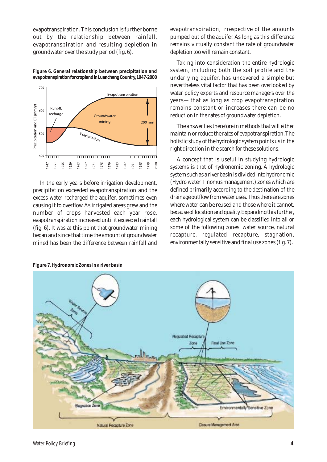evapotranspiration. This conclusion is further borne out by the relationship between rainfall, evapotranspiration and resulting depletion in groundwater over the study period (fig. 6).

**Figure 6. General relationship between precipitation and evapotranspiration for cropland in Luancheng Country, 1947-2000**



In the early years before irrigation development, precipitation exceeded evapotranspiration and the excess water recharged the aquifer, sometimes even causing it to overflow. As irrigated areas grew and the number of crops harvested each year rose, evapotranspiration increased until it exceeded rainfall (fig. 6). It was at this point that groundwater mining began and since that time the amount of groundwater mined has been the difference between rainfall and evapotranspiration, irrespective of the amounts pumped out of the aquifer. As long as this difference remains virtually constant the rate of groundwater depletion too will remain constant.

Taking into consideration the entire hydrologic system, including both the soil profile and the underlying aquifer, has uncovered a simple but nevertheless vital factor that has been overlooked by water policy experts and resource managers over the years—that as long as crop evapotranspiration remains constant or increases there can be no reduction in the rates of groundwater depletion.

The answer lies therefore in methods that will either maintain or reduce the rates of evapotranspiration. The holistic study of the hydrologic system points us in the right direction in the search for these solutions.

A concept that is useful in studying hydrologic systems is that of hydronomic zoning. A hydrologic system such as a river basin is divided into hydronomic (*Hydro* water + *nomus* management) zones which are defined primarily according to the destination of the drainage outflow from water uses. Thus there are zones where water can be reused and those where it cannot, because of location and quality. Expanding this further, each hydrological system can be classified into all or some of the following zones: water source, natural recapture, regulated recapture, stagnation, environmentally sensitive and final use zones (fig. 7).



**Figure 7. Hydronomic Zones in a river basin**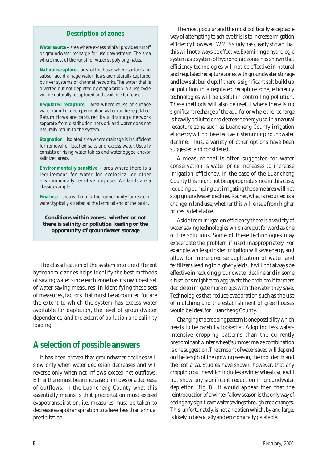#### **Description of zones**

*Water source* – area where excess rainfall provides runoff or groundwater recharge for use downstream. The area where most of the runoff or water supply originates.

*Natural recapture* – area of the basin where surface and subsurface drainage water flows are naturally captured by river systems or channel networks. The water that is diverted but not depleted by evaporation in a use cycle will be naturally recaptured and available for reuse.

*Regulated recapture* – area where reuse of surface water runoff or deep percolation water can be regulated. Return flows are captured by a drainage network separate from distribution network and water does not naturally return to the system.

*Stagnation* – isolated area where drainage is insufficient for removal of leached salts and excess water. Usually consists of rising water tables and waterlogged and/or salinized areas.

*Environmentally sensitive* – area where there is a requirement for water for ecological or other environmentally sensitive purposes. Wetlands are a classic example.

*Final use* – area with no further opportunity for reuse of water, typically situated at the terminal end of the basin.

**Conditions within zones: whether or not there is salinity or pollution loading or the opportunity of groundwater storage**

The classification of the system into the different hydronomic zones helps identify the best methods of saving water since each zone has its own best set of water saving measures. In identifying these sets of measures, factors that must be accounted for are the extent to which the system has excess water available for depletion, the level of groundwater dependence, and the extent of pollution and salinity loading.

# **A selection of possible answers**

It has been proven that groundwater declines will slow only when water depletion decreases and will reverse only when net inflows exceed net outflows. Either there must be an increase of inflows or a decrease of outflows. In the Luancheng County what this essentially means is that precipitation must exceed evapotranspiration, i.e. measures must be taken to decrease evapotranspiration to a level less than annual precipitation.

The most popular and the most politically acceptable way of attempting to achieve this is to increase irrigation efficiency. However, IWMI's study has clearly shown that this will not always be effective. Examining a hydrologic system as a system of hydronomic zones has shown that efficiency technologies will not be effective in natural and regulated recapture zones with groundwater storage and low salt build up. If there is significant salt build up or pollution in a regulated recapture zone, efficiency technologies will be useful in controlling pollution. These methods will also be useful where there is no significant recharge of the aquifer or where the recharge is heavily polluted or to decrease energy use. In a natural recapture zone such as Luancheng County irrigation efficiency will not be effective in stemming groundwater decline. Thus, a variety of other options have been suggested and considered.

A measure that is often suggested for water conservation is water price increases to increase irrigation efficiency. In the case of the Luancheng County this might not be appropriate since in this case, reducing pumping but irrigating the same area will not stop groundwater decline. Rather, what is required is a change in land use; whether this will ensue from higher prices is debatable.

Aside from irrigation efficiency there is a variety of water saving technologies which are put forward as one of the solutions. Some of these technologies may exacerbate the problem if used inappropriately. For example, while sprinkler irrigation will save energy and allow for more precise application of water and fertilizers leading to higher yields, it will not always be effective in reducing groundwater decline and in some situations might even aggravate the problem if farmers decide to irrigate more crops with the water they save. Technologies that reduce evaporation such as the use of mulching and the establishment of greenhouses would be ideal for Luancheng County.

Changing the cropping pattern is one possibility which needs to be carefully looked at. Adopting less waterintensive cropping patterns than the currently predominant winter wheat/summer maize combination is one suggestion. The amount of water saved will depend on the length of the growing season, the root depth and the leaf area. Studies have shown, however, that any cropping routine which includes a winter wheat cycle will not show any significant reduction in groundwater depletion (fig. 8). It would appear then that the reintroduction of a winter fallow season is the only way of seeing any significant water savings through crop changes. This, unfortunately, is not an option which, by and large, is likely to be socially and economically palatable.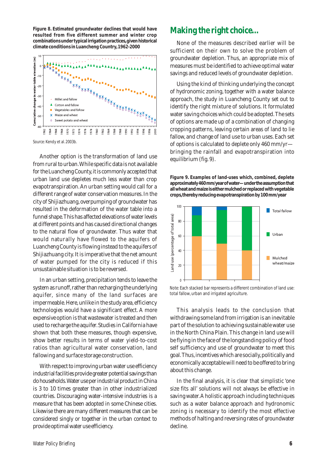**Figure 8. Estimated groundwater declines that would have resulted from five different summer and winter crop combinations under typical irrigation practices, given historical climate conditions in Luancheng Country, 1962-2000**



*Source:* Kendy et al. 2003b.

Another option is the transformation of land use from rural to urban. While specific data is not available for the Luancheng County, it is commonly accepted that urban land use depletes much less water than crop evapotranspiration. An urban setting would call for a different range of water conservation measures. In the city of Shijiazhuang, overpumping of groundwater has resulted in the deformation of the water table into a funnel shape. This has affected elevations of water levels at different points and has caused directional changes to the natural flow of groundwater. Thus water that would naturally have flowed to the aquifers of Luancheng County is flowing instead to the aquifers of Shijiazhuang city. It is imperative that the net amount of water pumped for the city is reduced if this unsustainable situation is to be reversed.

In an urban setting, precipitation tends to leave the system as runoff, rather than recharging the underlying aquifer, since many of the land surfaces are impermeable. Here, unlike in the study area, efficiency technologies would have a significant effect. A more expensive option is that wastewater is treated and then used to recharge the aquifer. Studies in California have shown that both these measures, though expensive, show better results in terms of water yield-to-cost ratios than agricultural water conservation, land fallowing and surface storage construction.

With respect to improving urban water use efficiency industrial facilities provide greater potential savings than do households. Water use per industrial product in China is 3 to 10 times greater than in other industrialized countries. Discouraging water-intensive industries is a measure that has been adopted in some Chinese cities. Likewise there are many different measures that can be considered singly or together in the urban context to provide optimal water use efficiency.

# **Making the right choice…**

None of the measures described earlier will be sufficient on their own to solve the problem of groundwater depletion. Thus, an appropriate mix of measures must be identified to achieve optimal water savings and reduced levels of groundwater depletion.

Using the kind of thinking underlying the concept of hydronomic zoning, together with a water balance approach, the study in Luancheng County set out to identify the right mixture of solutions. It formulated water saving choices which could be adopted. The sets of options are made up of a combination of changing cropping patterns, leaving certain areas of land to lie fallow, and change of land use to urban uses. Each set of options is calculated to deplete only 460 mm/yr bringing the rainfall and evapotranspiration into equilibrium (fig. 9).

**Figure 9. Examples of land-uses which, combined, deplete approximately 460 mm/year of water—under the assumption that all wheat and maize is either mulched or replaced with vegetable crops, thereby reducing evapotranspiration by 100 mm/year**



*Note:* Each stacked bar represents a different combination of land use: total fallow, urban and irrigated agriculture.

This analysis leads to the conclusion that withdrawing some land from irrigation is an inevitable part of the solution to achieving sustainable water use in the North China Plain. This change in land use will be flying in the face of the longstanding policy of food self sufficiency and use of groundwater to meet this goal. Thus, incentives which are socially, politically and economically acceptable will need to be offered to bring about this change.

In the final analysis, it is clear that simplistic 'one size fits all' solutions will not always be effective in saving water. A holistic approach including techniques such as a water balance approach and hydronomic zoning is necessary to identify the most effective methods of halting and reversing rates of groundwater decline.